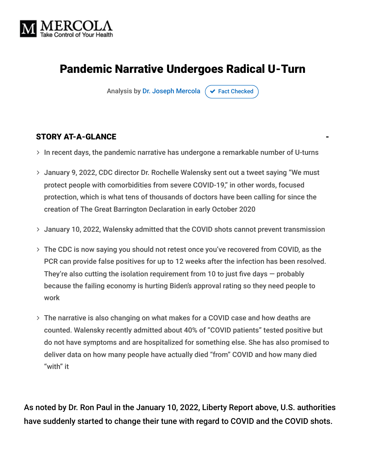

# Pandemic Narrative Undergoes Radical U-Turn

Analysis by [Dr. Joseph Mercola](https://www.mercola.com/forms/background.htm)  $\sigma$  [Fact Checked](javascript:void(0))

#### STORY AT-A-GLANCE

- $\rightarrow$  In recent days, the pandemic narrative has undergone a remarkable number of U-turns
- January 9, 2022, CDC director Dr. Rochelle Walensky sent out a tweet saying "We must protect people with comorbidities from severe COVID-19," in other words, focused protection, which is what tens of thousands of doctors have been calling for since the creation of The Great Barrington Declaration in early October 2020
- January 10, 2022, Walensky admitted that the COVID shots cannot prevent transmission
- The CDC is now saying you should not retest once you've recovered from COVID, as the PCR can provide false positives for up to 12 weeks after the infection has been resolved. They're also cutting the isolation requirement from 10 to just five days  $-$  probably because the failing economy is hurting Biden's approval rating so they need people to work
- The narrative is also changing on what makes for a COVID case and how deaths are counted. Walensky recently admitted about 40% of "COVID patients" tested positive but do not have symptoms and are hospitalized for something else. She has also promised to deliver data on how many people have actually died "from" COVID and how many died "with" it

As noted by Dr. Ron Paul in the January 10, 2022, Liberty Report above, U.S. authorities have suddenly started to change their tune with regard to COVID and the COVID shots.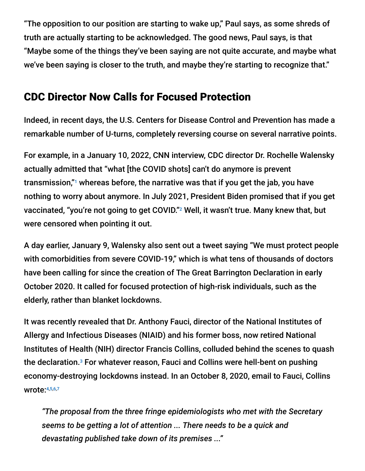"The opposition to our position are starting to wake up," Paul says, as some shreds of truth are actually starting to be acknowledged. The good news, Paul says, is that "Maybe some of the things they've been saying are not quite accurate, and maybe what we've been saying is closer to the truth, and maybe they're starting to recognize that."

### CDC Director Now Calls for Focused Protection

Indeed, in recent days, the U.S. Centers for Disease Control and Prevention has made a remarkable number of U-turns, completely reversing course on several narrative points.

For example, in a January 10, 2022, CNN interview, CDC director Dr. Rochelle Walensky actually admitted that "what [the COVID shots] can't do anymore is prevent transmission," $^{\scriptscriptstyle\rm I}$  whereas before, the narrative was that if you get the jab, you have nothing to worry about anymore. In July 2021, President Biden promised that if you get vaccinated, "you're not going to get COVID." $^{\rm 2}$  Well, it wasn't true. Many knew that, but were censored when pointing it out.

A day earlier, January 9, Walensky also sent out a tweet saying "We must protect people with comorbidities from severe COVID-19," which is what tens of thousands of doctors have been calling for since the creation of The Great Barrington Declaration in early October 2020. It called for focused protection of high-risk individuals, such as the elderly, rather than blanket lockdowns.

It was recently revealed that Dr. Anthony Fauci, director of the National Institutes of Allergy and Infectious Diseases (NIAID) and his former boss, now retired National Institutes of Health (NIH) director Francis Collins, colluded behind the scenes to quash the declaration.<sup>3</sup> For whatever reason, Fauci and Collins were hell-bent on pushing economy-destroying lockdowns instead. In an October 8, 2020, email to Fauci, Collins wrote: 4,5,6,7

*"The proposal from the three fringe epidemiologists who met with the Secretary seems to be getting a lot of attention ... There needs to be a quick and devastating published take down of its premises ..."*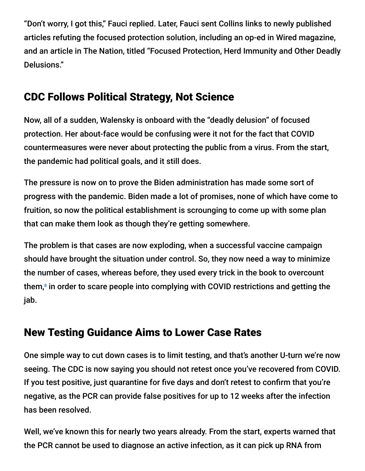"Don't worry, I got this," Fauci replied. Later, Fauci sent Collins links to newly published articles refuting the focused protection solution, including an op-ed in Wired magazine, and an article in The Nation, titled "Focused Protection, Herd Immunity and Other Deadly Delusions."

# CDC Follows Political Strategy, Not Science

Now, all of a sudden, Walensky is onboard with the "deadly delusion" of focused protection. Her about-face would be confusing were it not for the fact that COVID countermeasures were never about protecting the public from a virus. From the start, the pandemic had political goals, and it still does.

The pressure is now on to prove the Biden administration has made some sort of progress with the pandemic. Biden made a lot of promises, none of which have come to fruition, so now the political establishment is scrounging to come up with some plan that can make them look as though they're getting somewhere.

The problem is that cases are now exploding, when a successful vaccine campaign should have brought the situation under control. So, they now need a way to minimize the number of cases, whereas before, they used every trick in the book to overcount them, $^8$  in order to scare people into complying with COVID restrictions and getting the jab.

# New Testing Guidance Aims to Lower Case Rates

One simple way to cut down cases is to limit testing, and that's another U-turn we're now seeing. The CDC is now saying you should not retest once you've recovered from COVID. If you test positive, just quarantine for five days and don't retest to confirm that you're negative, as the PCR can provide false positives for up to 12 weeks after the infection has been resolved.

Well, we've known this for nearly two years already. From the start, experts warned that the PCR cannot be used to diagnose an active infection, as it can pick up RNA from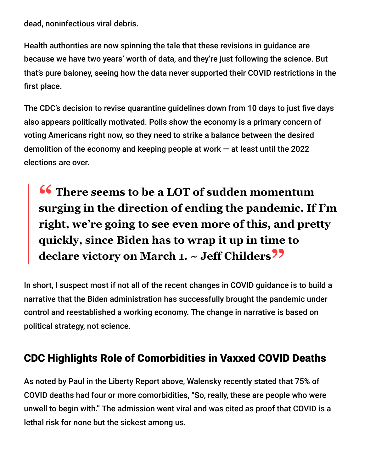dead, noninfectious viral debris.

Health authorities are now spinning the tale that these revisions in guidance are because we have two years' worth of data, and they're just following the science. But that's pure baloney, seeing how the data never supported their COVID restrictions in the first place.

The CDC's decision to revise quarantine guidelines down from 10 days to just five days also appears politically motivated. Polls show the economy is a primary concern of voting Americans right now, so they need to strike a balance between the desired demolition of the economy and keeping people at work  $-$  at least until the 2022 elections are over.

**<sup>66</sup>** There seems to be a LOT of sudden momentum<br>surging in the direction of ending the pandemic If **surging in the direction of ending the pandemic. If I'm right, we're going to see even more of this, and pretty quickly, since Biden has to wrap it up in time to declare victory on March 1. ~ Jeff Childers"**

In short, I suspect most if not all of the recent changes in COVID guidance is to build a narrative that the Biden administration has successfully brought the pandemic under control and reestablished a working economy. The change in narrative is based on political strategy, not science.

# CDC Highlights Role of Comorbidities in Vaxxed COVID Deaths

As noted by Paul in the Liberty Report above, Walensky recently stated that 75% of COVID deaths had four or more comorbidities, "So, really, these are people who were unwell to begin with." The admission went viral and was cited as proof that COVID is a lethal risk for none but the sickest among us.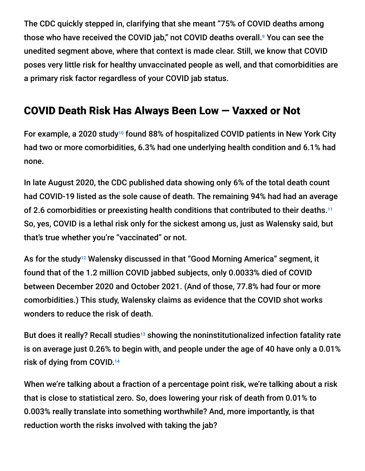The CDC quickly stepped in, clarifying that she meant "75% of COVID deaths among those who have received the COVID jab," not COVID deaths overall.<sup>9</sup> You can see the unedited segment above, where that context is made clear. Still, we know that COVID poses very little risk for healthy unvaccinated people as well, and that comorbidities are a primary risk factor regardless of your COVID jab status.

# COVID Death Risk Has Always Been Low — Vaxxed or Not

For example, a 2020 study<sup>10</sup> found 88% of hospitalized COVID patients in New York City had two or more comorbidities, 6.3% had one underlying health condition and 6.1% had none.

In late August 2020, the CDC published data showing only 6% of the total death count had COVID-19 listed as the sole cause of death. The remaining 94% had had an average of 2.6 comorbidities or preexisting health conditions that contributed to their deaths. 11 So, yes, COVID is a lethal risk only for the sickest among us, just as Walensky said, but that's true whether you're "vaccinated" or not.

As for the study12 Walensky discussed in that "Good Morning America" segment, it found that of the 1.2 million COVID jabbed subjects, only 0.0033% died of COVID between December 2020 and October 2021. (And of those, 77.8% had four or more comorbidities.) This study, Walensky claims as evidence that the COVID shot works wonders to reduce the risk of death.

But does it really? Recall studies<sup>13</sup> showing the noninstitutionalized infection fatality rate is on average just 0.26% to begin with, and people under the age of 40 have only a 0.01% risk of dying from COVID. 14

When we're talking about a fraction of a percentage point risk, we're talking about a risk that is close to statistical zero. So, does lowering your risk of death from 0.01% to 0.003% really translate into something worthwhile? And, more importantly, is that reduction worth the risks involved with taking the jab?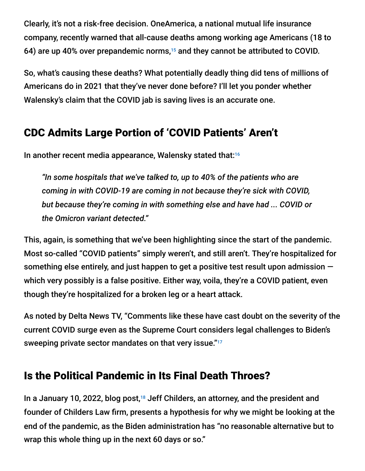Clearly, it's not a risk-free decision. OneAmerica, a national mutual life insurance company, recently warned that all-cause deaths among working age Americans (18 to 64) are up 40% over prepandemic norms, $15$  and they cannot be attributed to COVID.

So, what's causing these deaths? What potentially deadly thing did tens of millions of Americans do in 2021 that they've never done before? I'll let you ponder whether Walensky's claim that the COVID jab is saving lives is an accurate one.

# CDC Admits Large Portion of 'COVID Patients' Aren't

In another recent media appearance, Walensky stated that: 16

*"In some hospitals that we've talked to, up to 40% of the patients who are coming in with COVID-19 are coming in not because they're sick with COVID, but because they're coming in with something else and have had ... COVID or the Omicron variant detected."*

This, again, is something that we've been highlighting since the start of the pandemic. Most so-called "COVID patients" simply weren't, and still aren't. They're hospitalized for something else entirely, and just happen to get a positive test result upon admission  $$ which very possibly is a false positive. Either way, voila, they're a COVID patient, even though they're hospitalized for a broken leg or a heart attack.

As noted by Delta News TV, "Comments like these have cast doubt on the severity of the current COVID surge even as the Supreme Court considers legal challenges to Biden's sweeping private sector mandates on that very issue." 17

# Is the Political Pandemic in Its Final Death Throes?

In a January 10, 2022, blog post,<sup>18</sup> Jeff Childers, an attorney, and the president and founder of Childers Law firm, presents a hypothesis for why we might be looking at the end of the pandemic, as the Biden administration has "no reasonable alternative but to wrap this whole thing up in the next 60 days or so."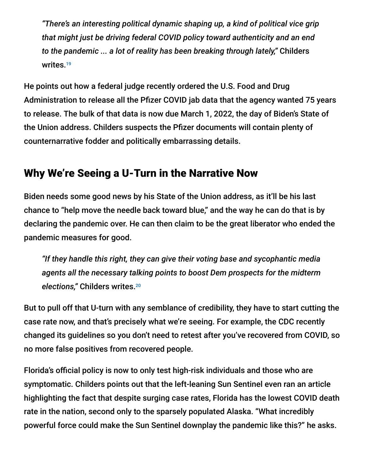*"There's an interesting political dynamic shaping up, a kind of political vice grip that might just be driving federal COVID policy toward authenticity and an end to the pandemic ... a lot of reality has been breaking through lately,"* Childers writes. 19

He points out how a federal judge recently ordered the U.S. Food and Drug Administration to release all the Pfizer COVID jab data that the agency wanted 75 years to release. The bulk of that data is now due March 1, 2022, the day of Biden's State of the Union address. Childers suspects the Pfizer documents will contain plenty of counternarrative fodder and politically embarrassing details.

# Why We're Seeing a U-Turn in the Narrative Now

Biden needs some good news by his State of the Union address, as it'll be his last chance to "help move the needle back toward blue," and the way he can do that is by declaring the pandemic over. He can then claim to be the great liberator who ended the pandemic measures for good.

*"If they handle this right, they can give their voting base and sycophantic media agents all the necessary talking points to boost Dem prospects for the midterm elections,"* Childers writes. 20

But to pull off that U-turn with any semblance of credibility, they have to start cutting the case rate now, and that's precisely what we're seeing. For example, the CDC recently changed its guidelines so you don't need to retest after you've recovered from COVID, so no more false positives from recovered people.

Florida's official policy is now to only test high-risk individuals and those who are symptomatic. Childers points out that the left-leaning Sun Sentinel even ran an article highlighting the fact that despite surging case rates, Florida has the lowest COVID death rate in the nation, second only to the sparsely populated Alaska. "What incredibly powerful force could make the Sun Sentinel downplay the pandemic like this?" he asks.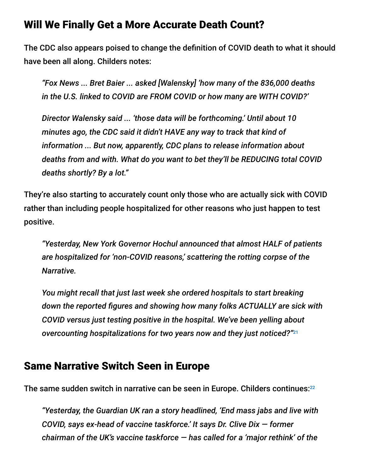### Will We Finally Get a More Accurate Death Count?

The CDC also appears poised to change the definition of COVID death to what it should have been all along. Childers notes:

*"Fox News ... Bret Baier ... asked [Walensky] 'how many of the 836,000 deaths in the U.S. linked to COVID are FROM COVID or how many are WITH COVID?'*

*Director Walensky said ... 'those data will be forthcoming.' Until about 10 minutes ago, the CDC said it didn't HAVE any way to track that kind of information ... But now, apparently, CDC plans to release information about deaths from and with. What do you want to bet they'll be REDUCING total COVID deaths shortly? By a lot."*

They're also starting to accurately count only those who are actually sick with COVID rather than including people hospitalized for other reasons who just happen to test positive.

*"Yesterday, New York Governor Hochul announced that almost HALF of patients are hospitalized for 'non-COVID reasons,' scattering the rotting corpse of the Narrative.*

*You might recall that just last week she ordered hospitals to start breaking down the reported figures and showing how many folks ACTUALLY are sick with COVID versus just testing positive in the hospital. We've been yelling about overcounting hospitalizations for two years now and they just noticed?"* 21

#### Same Narrative Switch Seen in Europe

The same sudden switch in narrative can be seen in Europe. Childers continues:<sup>22</sup>

*"Yesterday, the Guardian UK ran a story headlined, 'End mass jabs and live with COVID, says ex-head of vaccine taskforce.' It says Dr. Clive Dix — former chairman of the UK's vaccine taskforce — has called for a 'major rethink' of the*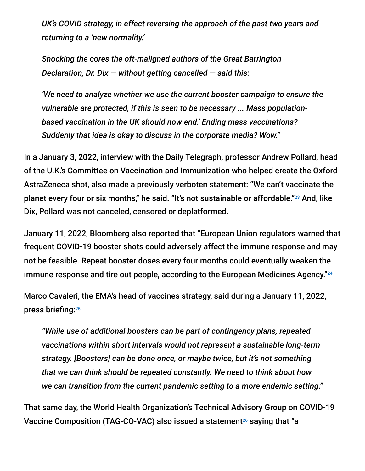*UK's COVID strategy, in effect reversing the approach of the past two years and returning to a 'new normality.'*

*Shocking the cores the oft-maligned authors of the Great Barrington Declaration, Dr. Dix — without getting cancelled — said this:*

*'We need to analyze whether we use the current booster campaign to ensure the vulnerable are protected, if this is seen to be necessary ... Mass populationbased vaccination in the UK should now end.' Ending mass vaccinations? Suddenly that idea is okay to discuss in the corporate media? Wow."*

In a January 3, 2022, interview with the Daily Telegraph, professor Andrew Pollard, head of the U.K.'s Committee on Vaccination and Immunization who helped create the Oxford-AstraZeneca shot, also made a previously verboten statement: "We can't vaccinate the planet every four or six months," he said. "It's not sustainable or affordable."<sup>23</sup> And, like Dix, Pollard was not canceled, censored or deplatformed.

January 11, 2022, Bloomberg also reported that "European Union regulators warned that frequent COVID-19 booster shots could adversely affect the immune response and may not be feasible. Repeat booster doses every four months could eventually weaken the immune response and tire out people, according to the European Medicines Agency." 24

Marco Cavaleri, the EMA's head of vaccines strategy, said during a January 11, 2022, press briefing: 25

*"While use of additional boosters can be part of contingency plans, repeated vaccinations within short intervals would not represent a sustainable long-term strategy. [Boosters] can be done once, or maybe twice, but it's not something that we can think should be repeated constantly. We need to think about how we can transition from the current pandemic setting to a more endemic setting."*

That same day, the World Health Organization's Technical Advisory Group on COVID-19 Vaccine Composition (TAG-CO-VAC) also issued a statement $^{26}$  saying that "a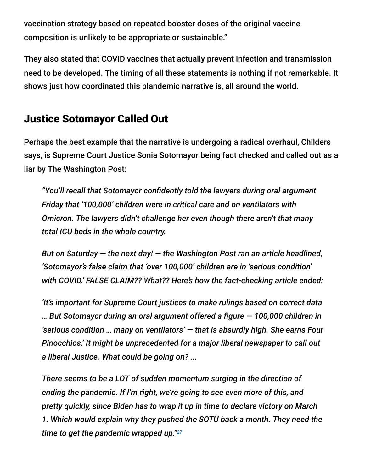vaccination strategy based on repeated booster doses of the original vaccine composition is unlikely to be appropriate or sustainable."

They also stated that COVID vaccines that actually prevent infection and transmission need to be developed. The timing of all these statements is nothing if not remarkable. It shows just how coordinated this plandemic narrative is, all around the world.

# Justice Sotomayor Called Out

Perhaps the best example that the narrative is undergoing a radical overhaul, Childers says, is Supreme Court Justice Sonia Sotomayor being fact checked and called out as a liar by The Washington Post:

*"You'll recall that Sotomayor confidently told the lawyers during oral argument Friday that '100,000' children were in critical care and on ventilators with Omicron. The lawyers didn't challenge her even though there aren't that many total ICU beds in the whole country.*

*But on Saturday — the next day! — the Washington Post ran an article headlined, 'Sotomayor's false claim that 'over 100,000' children are in 'serious condition' with COVID.' FALSE CLAIM?? What?? Here's how the fact-checking article ended:*

*'It's important for Supreme Court justices to make rulings based on correct data … But Sotomayor during an oral argument offered a figure — 100,000 children in 'serious condition … many on ventilators' — that is absurdly high. She earns Four Pinocchios.' It might be unprecedented for a major liberal newspaper to call out a liberal Justice. What could be going on? ...*

*There seems to be a LOT of sudden momentum surging in the direction of ending the pandemic. If I'm right, we're going to see even more of this, and pretty quickly, since Biden has to wrap it up in time to declare victory on March 1. Which would explain why they pushed the SOTU back a month. They need the time to get the pandemic wrapped up." 27*